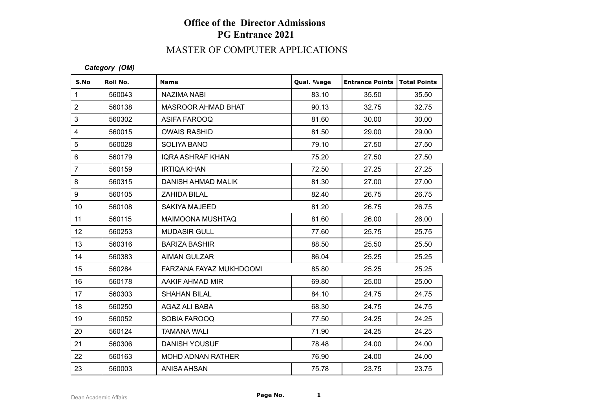## MASTER OF COMPUTER APPLICATIONS

### *Category (OM)*

| S.No                      | Roll No. | <b>Name</b>              | Qual. %age | <b>Entrance Points</b> | Total Points |
|---------------------------|----------|--------------------------|------------|------------------------|--------------|
| $\mathbf{1}$              | 560043   | NAZIMA NABI              | 83.10      | 35.50                  | 35.50        |
| $\overline{2}$            | 560138   | MASROOR AHMAD BHAT       | 90.13      | 32.75                  | 32.75        |
| $\ensuremath{\mathsf{3}}$ | 560302   | ASIFA FAROOQ             | 81.60      | 30.00                  | 30.00        |
| $\overline{4}$            | 560015   | <b>OWAIS RASHID</b>      | 81.50      | 29.00                  | 29.00        |
| $\sqrt{5}$                | 560028   | <b>SOLIYA BANO</b>       | 79.10      | 27.50                  | 27.50        |
| $\,6\,$                   | 560179   | <b>IQRA ASHRAF KHAN</b>  | 75.20      | 27.50                  | 27.50        |
| $\overline{7}$            | 560159   | <b>IRTIQA KHAN</b>       | 72.50      | 27.25                  | 27.25        |
| $\bf 8$                   | 560315   | DANISH AHMAD MALIK       | 81.30      | 27.00                  | 27.00        |
| $\boldsymbol{9}$          | 560105   | <b>ZAHIDA BILAL</b>      | 82.40      | 26.75                  | 26.75        |
| 10 <sup>1</sup>           | 560108   | SAKIYA MAJEED            | 81.20      | 26.75                  | 26.75        |
| 11                        | 560115   | MAIMOONA MUSHTAQ         | 81.60      | 26.00                  | 26.00        |
| 12                        | 560253   | <b>MUDASIR GULL</b>      | 77.60      | 25.75                  | 25.75        |
| 13                        | 560316   | <b>BARIZA BASHIR</b>     | 88.50      | 25.50                  | 25.50        |
| 14                        | 560383   | <b>AIMAN GULZAR</b>      | 86.04      | 25.25                  | 25.25        |
| 15                        | 560284   | FARZANA FAYAZ MUKHDOOMI  | 85.80      | 25.25                  | 25.25        |
| 16                        | 560178   | AAKIF AHMAD MIR          | 69.80      | 25.00                  | 25.00        |
| 17                        | 560303   | <b>SHAHAN BILAL</b>      | 84.10      | 24.75                  | 24.75        |
| 18                        | 560250   | AGAZ ALI BABA            | 68.30      | 24.75                  | 24.75        |
| 19                        | 560052   | SOBIA FAROOQ             | 77.50      | 24.25                  | 24.25        |
| 20                        | 560124   | <b>TAMANA WALI</b>       | 71.90      | 24.25                  | 24.25        |
| 21                        | 560306   | <b>DANISH YOUSUF</b>     | 78.48      | 24.00                  | 24.00        |
| 22                        | 560163   | <b>MOHD ADNAN RATHER</b> | 76.90      | 24.00                  | 24.00        |
| 23                        | 560003   | <b>ANISA AHSAN</b>       | 75.78      | 23.75                  | 23.75        |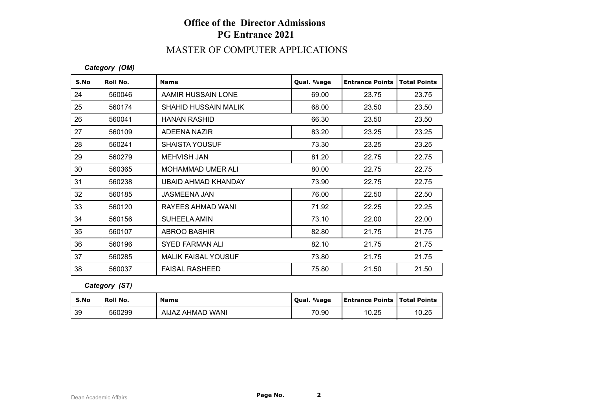## MASTER OF COMPUTER APPLICATIONS

### *Category (OM)*

| S.No | Roll No. | <b>Name</b>                 | Qual. %age | <b>Entrance Points</b> | <b>Total Points</b> |
|------|----------|-----------------------------|------------|------------------------|---------------------|
| 24   | 560046   | AAMIR HUSSAIN LONE          | 69.00      | 23.75                  | 23.75               |
| 25   | 560174   | <b>SHAHID HUSSAIN MALIK</b> | 68.00      | 23.50                  | 23.50               |
| 26   | 560041   | <b>HANAN RASHID</b>         | 66.30      | 23.50                  | 23.50               |
| 27   | 560109   | ADEENA NAZIR                | 83.20      | 23.25                  | 23.25               |
| 28   | 560241   | <b>SHAISTA YOUSUF</b>       | 73.30      | 23.25                  | 23.25               |
| 29   | 560279   | <b>MEHVISH JAN</b>          | 81.20      | 22.75                  | 22.75               |
| 30   | 560365   | MOHAMMAD UMER ALI           | 80.00      | 22.75                  | 22.75               |
| 31   | 560238   | UBAID AHMAD KHANDAY         | 73.90      | 22.75                  | 22.75               |
| 32   | 560185   | <b>JASMEENA JAN</b>         | 76.00      | 22.50                  | 22.50               |
| 33   | 560120   | RAYEES AHMAD WANI           | 71.92      | 22.25                  | 22.25               |
| 34   | 560156   | <b>SUHEELA AMIN</b>         | 73.10      | 22.00                  | 22.00               |
| 35   | 560107   | <b>ABROO BASHIR</b>         | 82.80      | 21.75                  | 21.75               |
| 36   | 560196   | <b>SYED FARMAN ALI</b>      | 82.10      | 21.75                  | 21.75               |
| 37   | 560285   | <b>MALIK FAISAL YOUSUF</b>  | 73.80      | 21.75                  | 21.75               |
| 38   | 560037   | <b>FAISAL RASHEED</b>       | 75.80      | 21.50                  | 21.50               |

### *Category (ST)*

| S.No | <b>Roll No.</b> | <b>Name</b>      | Qual. %age | <b>Entrance Points   Total Points</b> |       |
|------|-----------------|------------------|------------|---------------------------------------|-------|
| 39   | 560299          | AIJAZ AHMAD WANI | 70.90      | 10.25                                 | 10.25 |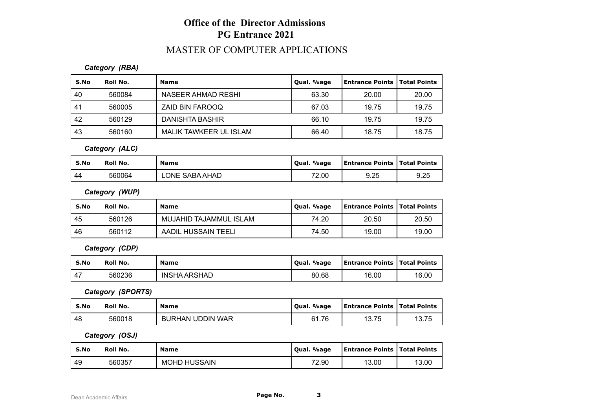## MASTER OF COMPUTER APPLICATIONS

### *Category (RBA)*

| S.No | Roll No. | <b>Name</b>            | Qual. %age | Entrance Points   Total Points |       |
|------|----------|------------------------|------------|--------------------------------|-------|
| 40   | 560084   | NASEER AHMAD RESHI     | 63.30      | 20.00                          | 20.00 |
| -41  | 560005   | ZAID BIN FAROOQ        | 67.03      | 19.75                          | 19.75 |
| -42  | 560129   | <b>DANISHTA BASHIR</b> | 66.10      | 19.75                          | 19.75 |
| -43  | 560160   | MALIK TAWKEER UL ISLAM | 66.40      | 18.75                          | 18.75 |

*Category (ALC)*

| S.No | Roll No. | <b>Name</b>           | . %age<br>Oual. | <b>Entrance Points   Total Points</b> |      |
|------|----------|-----------------------|-----------------|---------------------------------------|------|
| -44  | 560064   | <b>LONE SABA AHAD</b> | 72.00           | 9.25                                  | 9.25 |

*Category (WUP)*

| S.No | Roll No. | <b>Name</b>            | Qual. %age | <b>Entrance Points   Total Points</b> |       |
|------|----------|------------------------|------------|---------------------------------------|-------|
| 45   | 560126   | MUJAHID TAJAMMUL ISLAM | 74.20      | 20.50                                 | 20.50 |
| 46   | 560112   | AADIL HUSSAIN TEELI    | 74.50      | 19.00                                 | 19.00 |

*Category (CDP)*

| S.No           | Roll No. | <b>Name</b>         | Qual. %age | Entrance Points   Total Points |       |
|----------------|----------|---------------------|------------|--------------------------------|-------|
| $\overline{ }$ | 560236   | <b>INSHA ARSHAD</b> | 80.68      | 16.00                          | 16.00 |

*Category (SPORTS)*

| S.No | Roll No. | <b>Name</b>             | Qual. %age | <b>Entrance Points   Total Points</b> |       |
|------|----------|-------------------------|------------|---------------------------------------|-------|
| -48  | 560018   | <b>BURHAN UDDIN WAR</b> | 61.76      | 13.75                                 | 13.75 |

*Category (OSJ)*

| S.No | <b>Roll No.</b> | <b>Name</b>         | Qual. %age | <b>Entrance Points   Total Points</b> |       |
|------|-----------------|---------------------|------------|---------------------------------------|-------|
| 49   | 560357          | <b>MOHD HUSSAIN</b> | 72.90      | 13.00                                 | 13.00 |